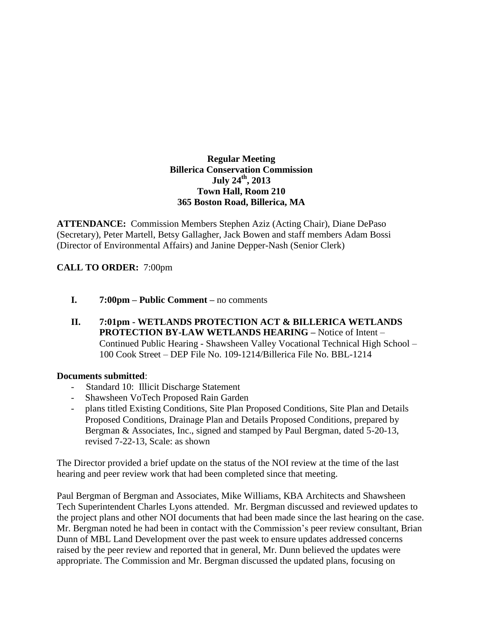## **Regular Meeting Billerica Conservation Commission July 24th, 2013 Town Hall, Room 210 365 Boston Road, Billerica, MA**

**ATTENDANCE:** Commission Members Stephen Aziz (Acting Chair), Diane DePaso (Secretary), Peter Martell, Betsy Gallagher, Jack Bowen and staff members Adam Bossi (Director of Environmental Affairs) and Janine Depper-Nash (Senior Clerk)

## **CALL TO ORDER:** 7:00pm

- **I. 7:00pm – Public Comment –** no comments
- **II. 7:01pm - WETLANDS PROTECTION ACT & BILLERICA WETLANDS PROTECTION BY-LAW WETLANDS HEARING –** Notice of Intent – Continued Public Hearing - Shawsheen Valley Vocational Technical High School – 100 Cook Street – DEP File No. 109-1214/Billerica File No. BBL-1214

## **Documents submitted**:

- Standard 10: Illicit Discharge Statement
- Shawsheen VoTech Proposed Rain Garden
- plans titled Existing Conditions, Site Plan Proposed Conditions, Site Plan and Details Proposed Conditions, Drainage Plan and Details Proposed Conditions, prepared by Bergman & Associates, Inc., signed and stamped by Paul Bergman, dated 5-20-13, revised 7-22-13, Scale: as shown

The Director provided a brief update on the status of the NOI review at the time of the last hearing and peer review work that had been completed since that meeting.

Paul Bergman of Bergman and Associates, Mike Williams, KBA Architects and Shawsheen Tech Superintendent Charles Lyons attended. Mr. Bergman discussed and reviewed updates to the project plans and other NOI documents that had been made since the last hearing on the case. Mr. Bergman noted he had been in contact with the Commission's peer review consultant, Brian Dunn of MBL Land Development over the past week to ensure updates addressed concerns raised by the peer review and reported that in general, Mr. Dunn believed the updates were appropriate. The Commission and Mr. Bergman discussed the updated plans, focusing on